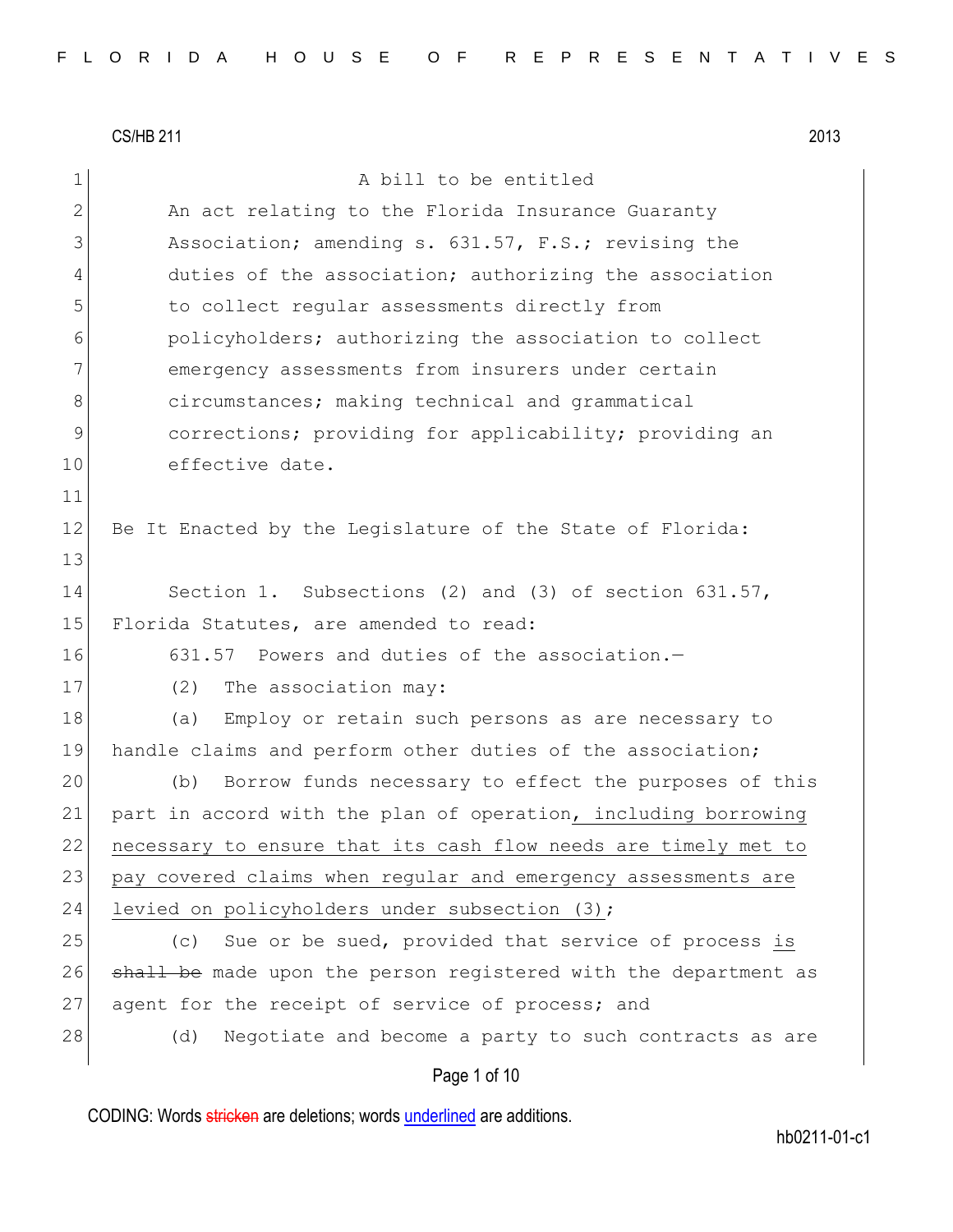11

13

 $CS/HB$  211  $2013$ 1 a bill to be entitled 2 An act relating to the Florida Insurance Guaranty 3 Association; amending s. 631.57, F.S.; revising the 4 duties of the association; authorizing the association 5 to collect regular assessments directly from 6 policyholders; authorizing the association to collect 7 emergency assessments from insurers under certain 8 8 circumstances; making technical and grammatical 9 9 corrections; providing for applicability; providing an 10 effective date. 12 Be It Enacted by the Legislature of the State of Florida: 14 Section 1. Subsections (2) and (3) of section 631.57, 15 Florida Statutes, are amended to read: 16 631.57 Powers and duties of the association.— 17 (2) The association may: 18 (a) Employ or retain such persons as are necessary to 19 handle claims and perform other duties of the association; 20 (b) Borrow funds necessary to effect the purposes of this 21 part in accord with the plan of operation, including borrowing 22 necessary to ensure that its cash flow needs are timely met to 23 pay covered claims when regular and emergency assessments are 24 levied on policyholders under subsection (3); 25 (c) Sue or be sued, provided that service of process is 26 shall be made upon the person registered with the department as 27 agent for the receipt of service of process; and 28 (d) Negotiate and become a party to such contracts as are

### Page 1 of 10

CODING: Words stricken are deletions; words underlined are additions.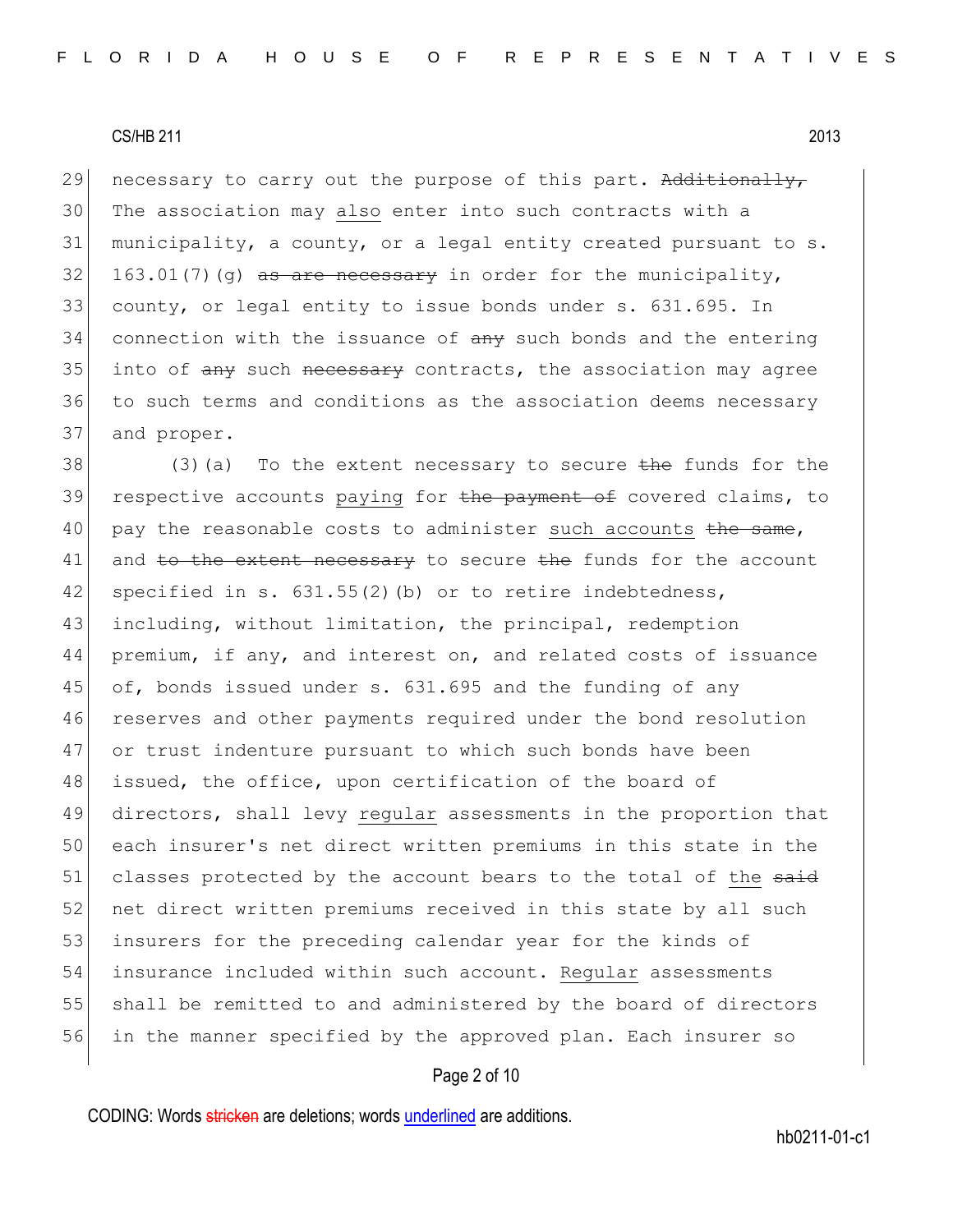29 necessary to carry out the purpose of this part. Additionally, The association may also enter into such contracts with a municipality, a county, or a legal entity created pursuant to s. 163.01(7)(g) as are necessary in order for the municipality, county, or legal entity to issue bonds under s. 631.695. In connection with the issuance of  $\frac{1}{2}$  any such bonds and the entering 35 into of any such necessary contracts, the association may agree to such terms and conditions as the association deems necessary and proper.

38 (3)(a) To the extent necessary to secure the funds for the 39 respective accounts paying for the payment of covered claims, to 40 pay the reasonable costs to administer such accounts the same, 41 and to the extent necessary to secure the funds for the account 42 specified in s.  $631.55(2)$  (b) or to retire indebtedness, 43 including, without limitation, the principal, redemption 44 premium, if any, and interest on, and related costs of issuance 45 of, bonds issued under s. 631.695 and the funding of any 46 reserves and other payments required under the bond resolution 47 or trust indenture pursuant to which such bonds have been 48 issued, the office, upon certification of the board of 49 directors, shall levy regular assessments in the proportion that 50 each insurer's net direct written premiums in this state in the 51 classes protected by the account bears to the total of the said 52 net direct written premiums received in this state by all such 53 insurers for the preceding calendar year for the kinds of 54 insurance included within such account. Regular assessments 55 shall be remitted to and administered by the board of directors 56 in the manner specified by the approved plan. Each insurer so

### Page 2 of 10

CODING: Words stricken are deletions; words underlined are additions.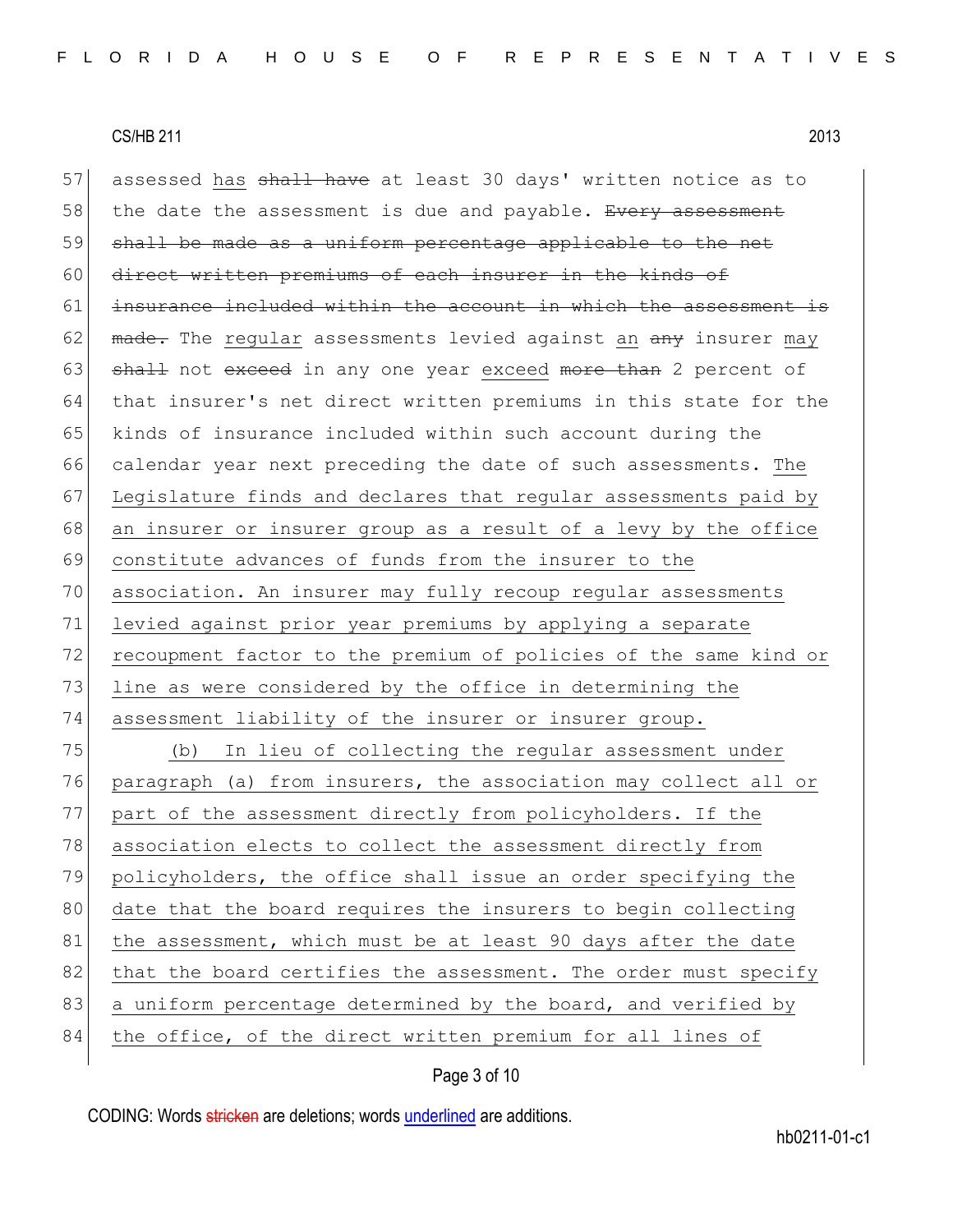57 assessed has shall have at least 30 days' written notice as to 58 the date the assessment is due and payable. Every assessment 59 shall be made as a uniform percentage applicable to the net 60 direct written premiums of each insurer in the kinds of 61 insurance included within the account in which the assessment is 62 made. The regular assessments levied against an any insurer may 63 shall not exceed in any one year exceed more than 2 percent of 64 that insurer's net direct written premiums in this state for the 65 kinds of insurance included within such account during the 66 calendar year next preceding the date of such assessments. The 67 Legislature finds and declares that regular assessments paid by 68 an insurer or insurer group as a result of a levy by the office 69 constitute advances of funds from the insurer to the 70 association. An insurer may fully recoup regular assessments 71 levied against prior year premiums by applying a separate 72 recoupment factor to the premium of policies of the same kind or 73 line as were considered by the office in determining the 74 assessment liability of the insurer or insurer group. 75 (b) In lieu of collecting the regular assessment under 76 paragraph (a) from insurers, the association may collect all or 77 part of the assessment directly from policyholders. If the 78 association elects to collect the assessment directly from 79 policyholders, the office shall issue an order specifying the 80 date that the board requires the insurers to begin collecting

81 the assessment, which must be at least 90 days after the date 82 that the board certifies the assessment. The order must specify 83 a uniform percentage determined by the board, and verified by

84 the office, of the direct written premium for all lines of

# Page 3 of 10

CODING: Words stricken are deletions; words underlined are additions.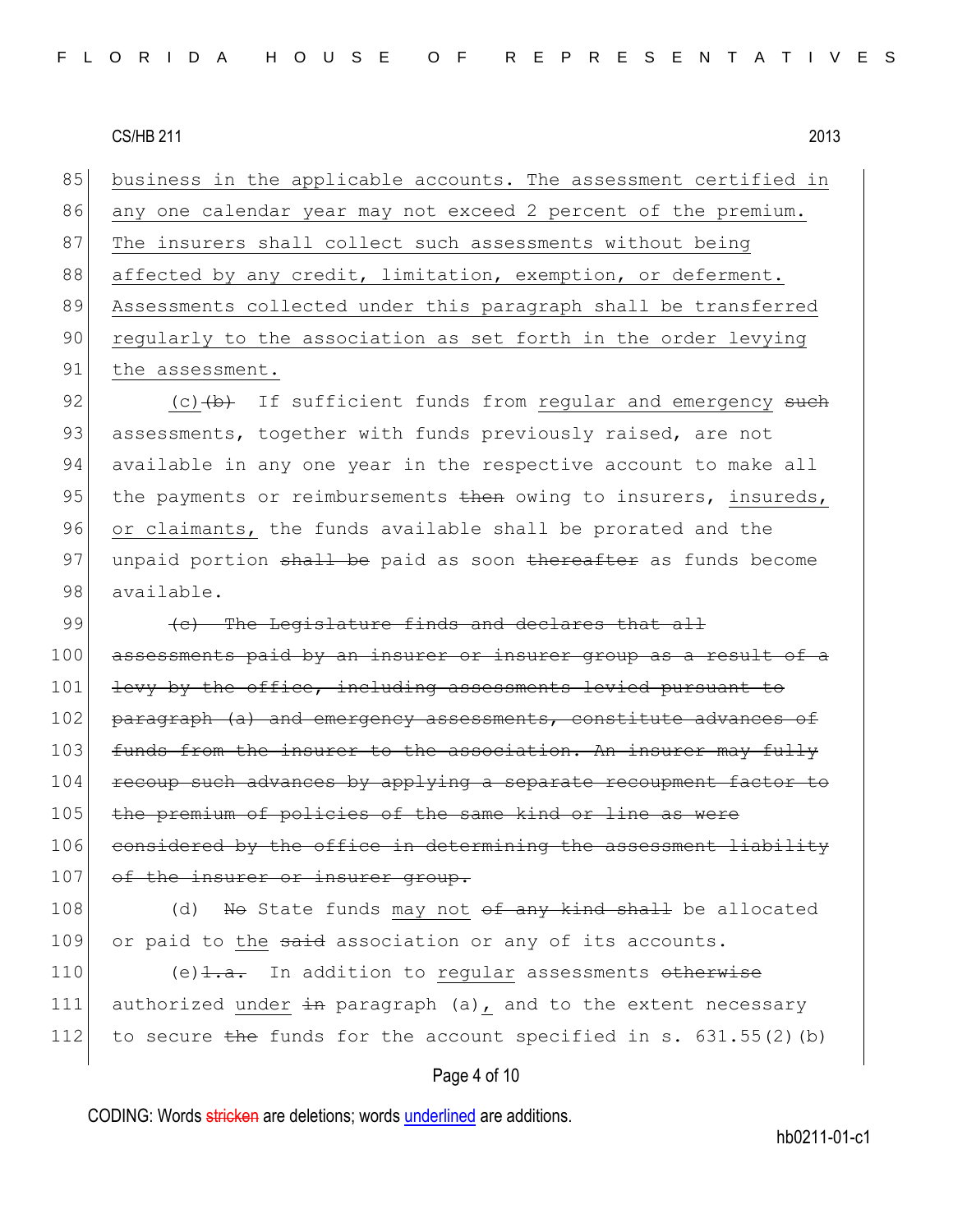85 business in the applicable accounts. The assessment certified in 86 any one calendar year may not exceed 2 percent of the premium. 87 The insurers shall collect such assessments without being 88 affected by any credit, limitation, exemption, or deferment. 89 Assessments collected under this paragraph shall be transferred 90 regularly to the association as set forth in the order levying 91 the assessment.

92  $\vert$  (c)  $\downarrow$  (b) If sufficient funds from regular and emergency such 93 assessments, together with funds previously raised, are not 94 available in any one year in the respective account to make all 95 the payments or reimbursements  $\frac{1}{2}$  then owing to insurers, insureds, 96 or claimants, the funds available shall be prorated and the 97 unpaid portion shall be paid as soon thereafter as funds become 98 available.

99  $\left($  (c) The Legislature finds and declares that all 100 assessments paid by an insurer or insurer group as a result of a 101 levy by the office, including assessments levied pursuant to 102 paragraph (a) and emergency assessments, constitute advances of 103 funds from the insurer to the association. An insurer may fully 104 recoup such advances by applying a separate recoupment factor to 105 the premium of policies of the same kind or line as were 106 considered by the office in determining the assessment liability 107 of the insurer or insurer group.

108 (d) No State funds may not  $\theta$  any kind shall be allocated 109 or paid to the said association or any of its accounts.

110 (e) $\frac{1}{1 \cdot a}$ . In addition to regular assessments otherwise 111 authorized under  $\pm n$  paragraph (a), and to the extent necessary 112 to secure the funds for the account specified in s.  $631.55(2)$  (b)

### Page 4 of 10

CODING: Words stricken are deletions; words underlined are additions.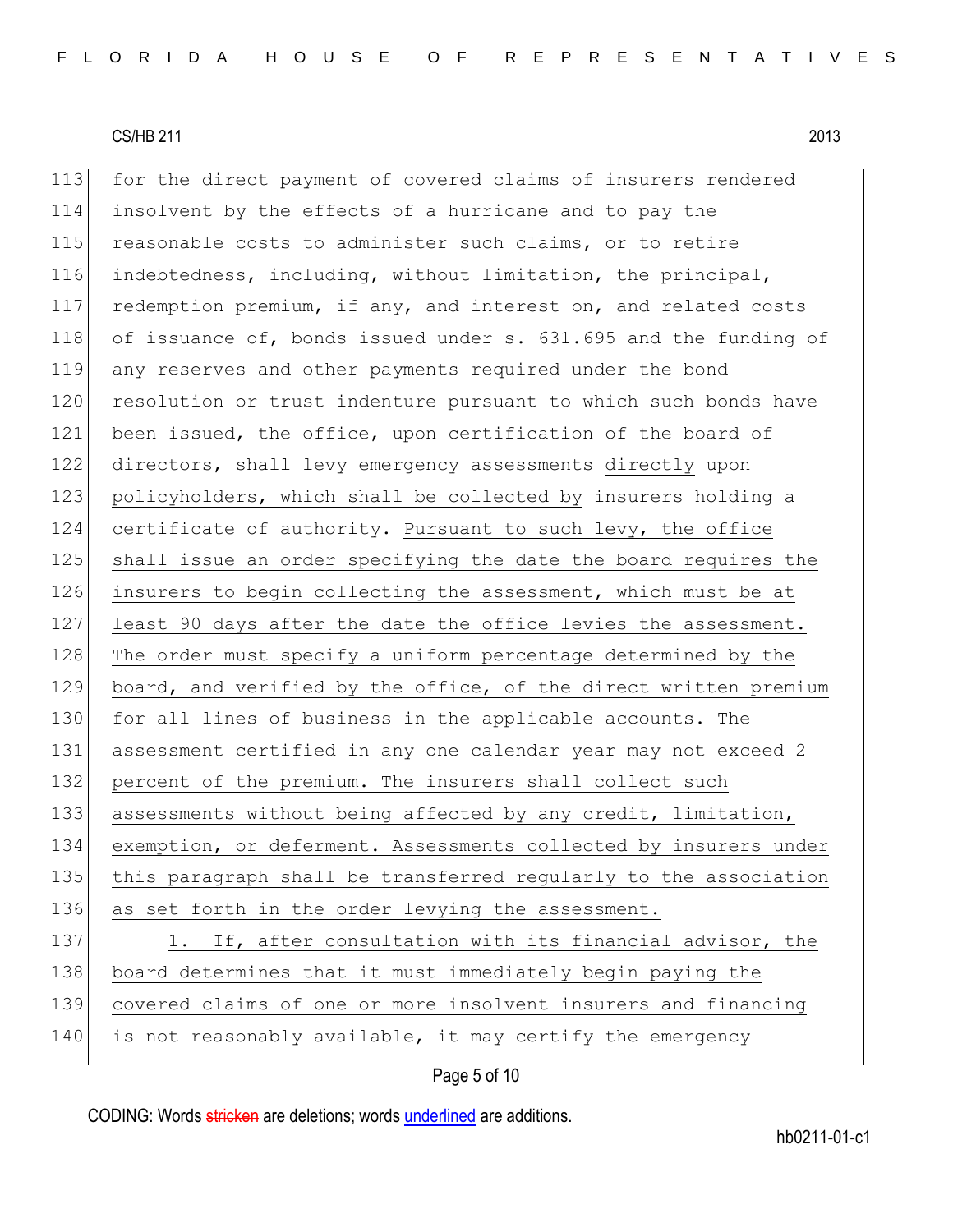113 for the direct payment of covered claims of insurers rendered 114 insolvent by the effects of a hurricane and to pay the 115 reasonable costs to administer such claims, or to retire 116 indebtedness, including, without limitation, the principal, 117 redemption premium, if any, and interest on, and related costs 118 of issuance of, bonds issued under s. 631.695 and the funding of 119 any reserves and other payments required under the bond 120 resolution or trust indenture pursuant to which such bonds have 121 been issued, the office, upon certification of the board of 122 directors, shall levy emergency assessments directly upon 123 policyholders, which shall be collected by insurers holding a 124 certificate of authority. Pursuant to such levy, the office 125 shall issue an order specifying the date the board requires the 126 insurers to begin collecting the assessment, which must be at 127 least 90 days after the date the office levies the assessment. 128 The order must specify a uniform percentage determined by the 129 board, and verified by the office, of the direct written premium 130 for all lines of business in the applicable accounts. The 131 assessment certified in any one calendar year may not exceed 2 132 percent of the premium. The insurers shall collect such 133 assessments without being affected by any credit, limitation, 134 exemption, or deferment. Assessments collected by insurers under 135 this paragraph shall be transferred regularly to the association 136 as set forth in the order levying the assessment. 137 1. If, after consultation with its financial advisor, the 138 board determines that it must immediately begin paying the 139 covered claims of one or more insolvent insurers and financing

140 is not reasonably available, it may certify the emergency

# Page 5 of 10

CODING: Words stricken are deletions; words underlined are additions.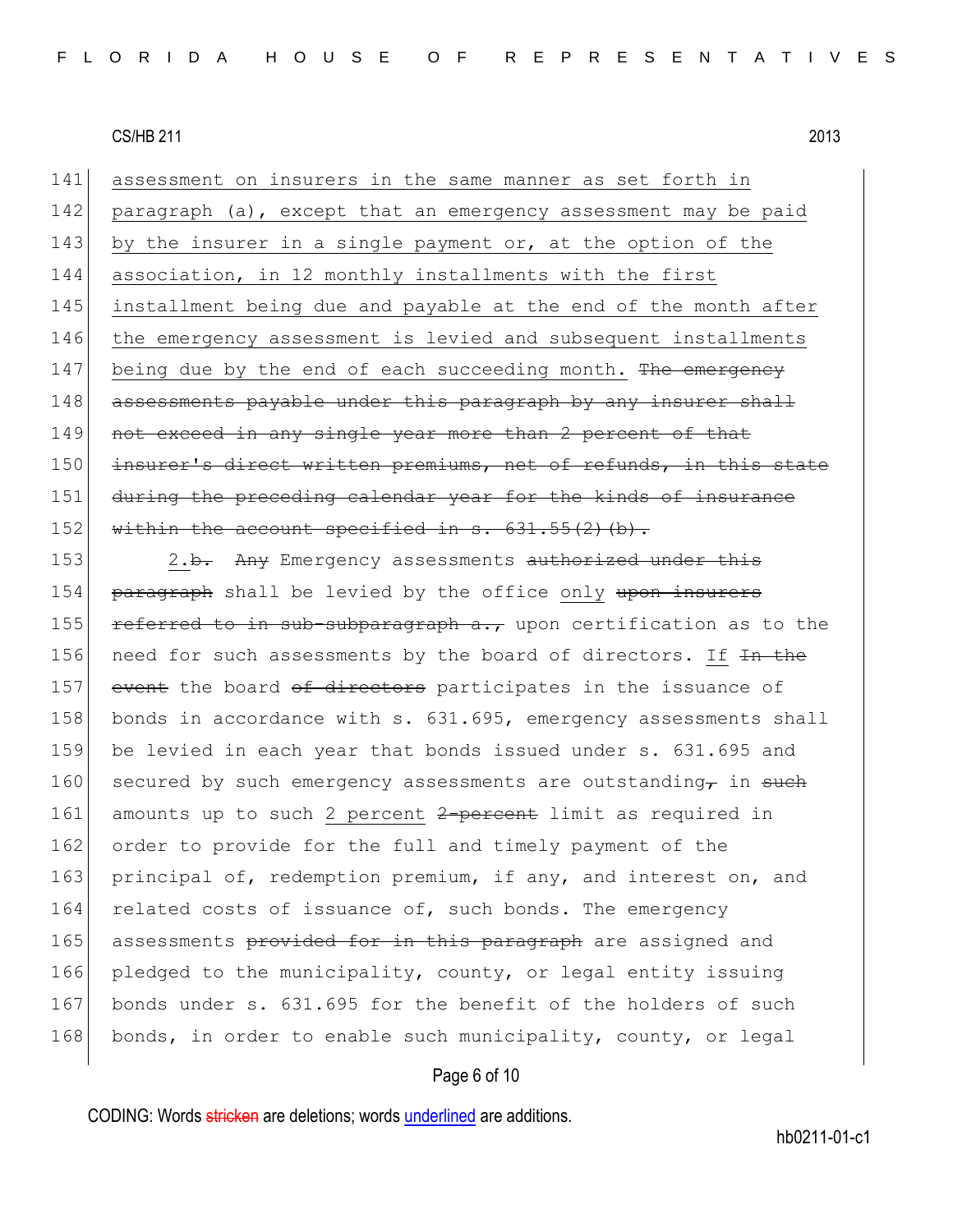141 assessment on insurers in the same manner as set forth in 142 paragraph (a), except that an emergency assessment may be paid 143 by the insurer in a single payment or, at the option of the 144 association, in 12 monthly installments with the first 145 installment being due and payable at the end of the month after 146 the emergency assessment is levied and subsequent installments 147 being due by the end of each succeeding month. The emergency 148 assessments payable under this paragraph by any insurer shall 149 not exceed in any single year more than 2 percent of that 150 insurer's direct written premiums, net of refunds, in this state 151 during the preceding calendar year for the kinds of insurance 152 within the account specified in s.  $631.55(2)$  (b).

153 2.<del>b.</del> Any Emergency assessments authorized under this 154 paragraph shall be levied by the office only upon insurers 155 referred to in sub-subparagraph  $a_{\tau}$ , upon certification as to the 156 need for such assessments by the board of directors. If  $\overline{1}$  the 157 event the board of directors participates in the issuance of 158 bonds in accordance with s. 631.695, emergency assessments shall 159 be levied in each year that bonds issued under s. 631.695 and 160 secured by such emergency assessments are outstanding  $\tau$  in such 161 amounts up to such 2 percent 2-percent limit as required in 162 order to provide for the full and timely payment of the 163 principal of, redemption premium, if any, and interest on, and 164 related costs of issuance of, such bonds. The emergency 165 assessments provided for in this paragraph are assigned and 166 pledged to the municipality, county, or legal entity issuing 167 bonds under s. 631.695 for the benefit of the holders of such 168 bonds, in order to enable such municipality, county, or legal

# Page 6 of 10

CODING: Words stricken are deletions; words underlined are additions.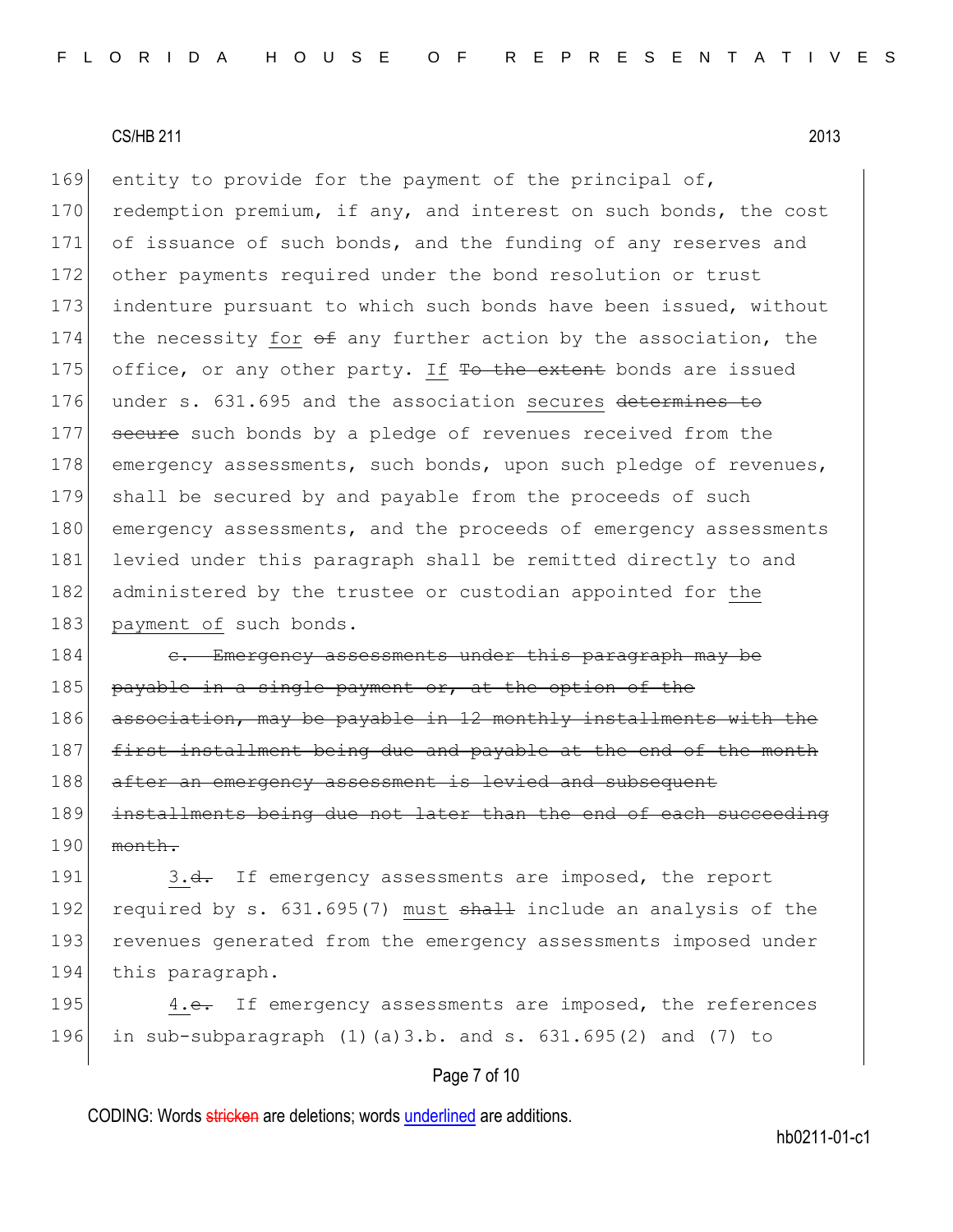169 entity to provide for the payment of the principal of, 170 redemption premium, if any, and interest on such bonds, the cost 171 of issuance of such bonds, and the funding of any reserves and 172 other payments required under the bond resolution or trust 173 indenture pursuant to which such bonds have been issued, without 174 the necessity for  $\Theta$  any further action by the association, the 175 office, or any other party. If To the extent bonds are issued 176 under s. 631.695 and the association secures determines to 177 secure such bonds by a pledge of revenues received from the 178 emergency assessments, such bonds, upon such pledge of revenues, 179 shall be secured by and payable from the proceeds of such 180 emergency assessments, and the proceeds of emergency assessments 181 levied under this paragraph shall be remitted directly to and 182 administered by the trustee or custodian appointed for the 183 payment of such bonds.

184 c. Emergency assessments under this paragraph may be 185 payable in a single payment or, at the option of the 186 association, may be payable in 12 monthly installments with the 187 first installment being due and payable at the end of the month 188 after an emergency assessment is levied and subsequent 189 installments being due not later than the end of each succeeding 190 month.

191 3.<del>d.</del> If emergency assessments are imposed, the report 192 required by s.  $631.695(7)$  must  $shath$  include an analysis of the 193 revenues generated from the emergency assessments imposed under 194 this paragraph.

195 4.e. If emergency assessments are imposed, the references 196 in sub-subparagraph (1)(a)3.b. and s. 631.695(2) and (7) to

# Page 7 of 10

CODING: Words stricken are deletions; words underlined are additions.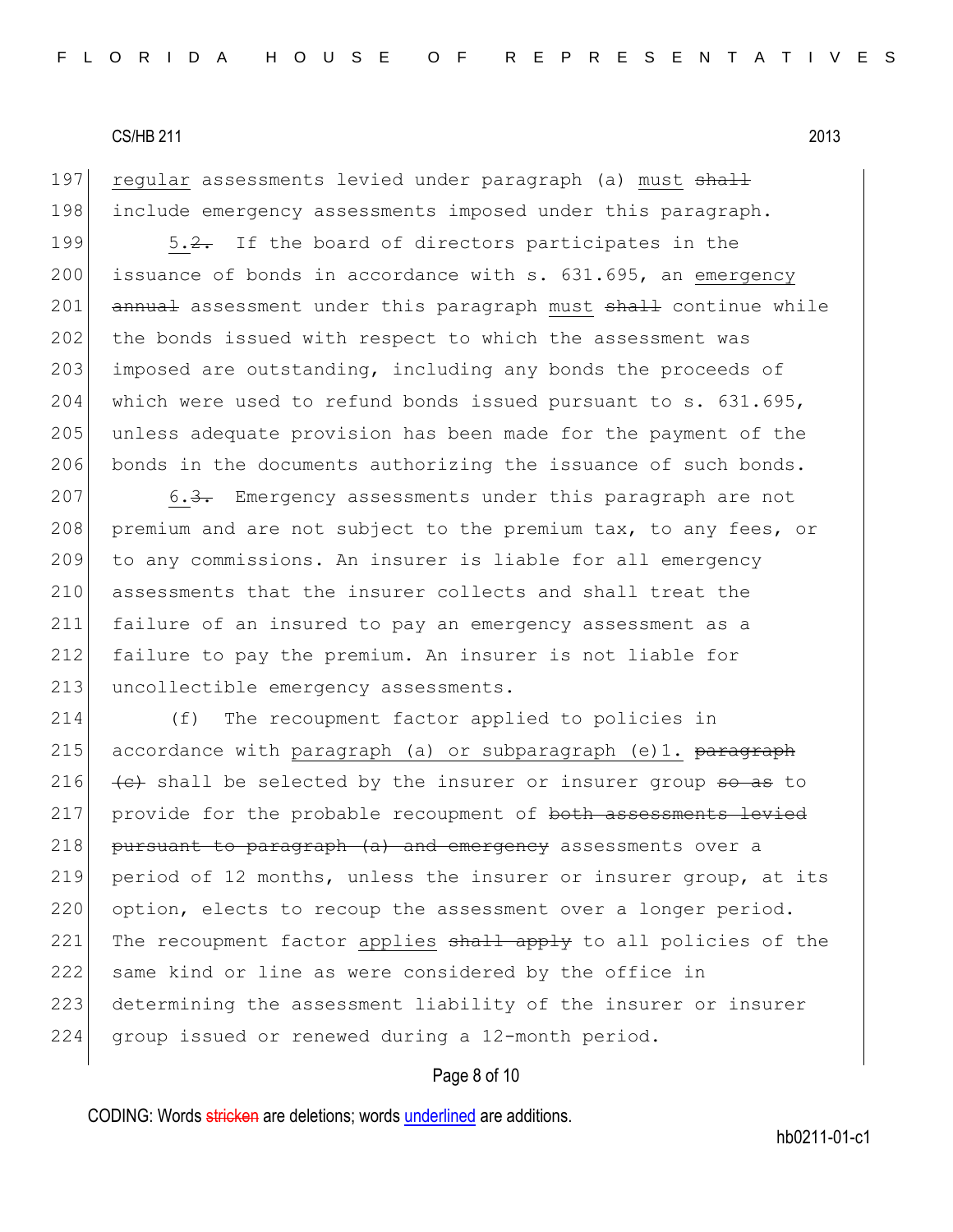197 regular assessments levied under paragraph (a) must shall 198 include emergency assessments imposed under this paragraph.

199  $\sim$  5.2. If the board of directors participates in the 200 issuance of bonds in accordance with s. 631.695, an emergency 201 annual assessment under this paragraph must shall continue while 202 the bonds issued with respect to which the assessment was 203 imposed are outstanding, including any bonds the proceeds of 204 which were used to refund bonds issued pursuant to  $s. 631.695$ , 205 unless adequate provision has been made for the payment of the 206 bonds in the documents authorizing the issuance of such bonds.

207 6.3. Emergency assessments under this paragraph are not 208 premium and are not subject to the premium tax, to any fees, or 209 to any commissions. An insurer is liable for all emergency 210 assessments that the insurer collects and shall treat the 211 failure of an insured to pay an emergency assessment as a 212 failure to pay the premium. An insurer is not liable for 213 uncollectible emergency assessments.

214 (f) The recoupment factor applied to policies in 215 accordance with paragraph (a) or subparagraph (e)1. <del>paragraph</del> 216  $\leftarrow$  shall be selected by the insurer or insurer group so as to 217 provide for the probable recoupment of both assessments levied 218 pursuant to paragraph (a) and emergency assessments over a 219 period of 12 months, unless the insurer or insurer group, at its 220 option, elects to recoup the assessment over a longer period. 221 The recoupment factor applies shall apply to all policies of the 222 same kind or line as were considered by the office in 223 determining the assessment liability of the insurer or insurer 224 group issued or renewed during a 12-month period.

# Page 8 of 10

CODING: Words stricken are deletions; words underlined are additions.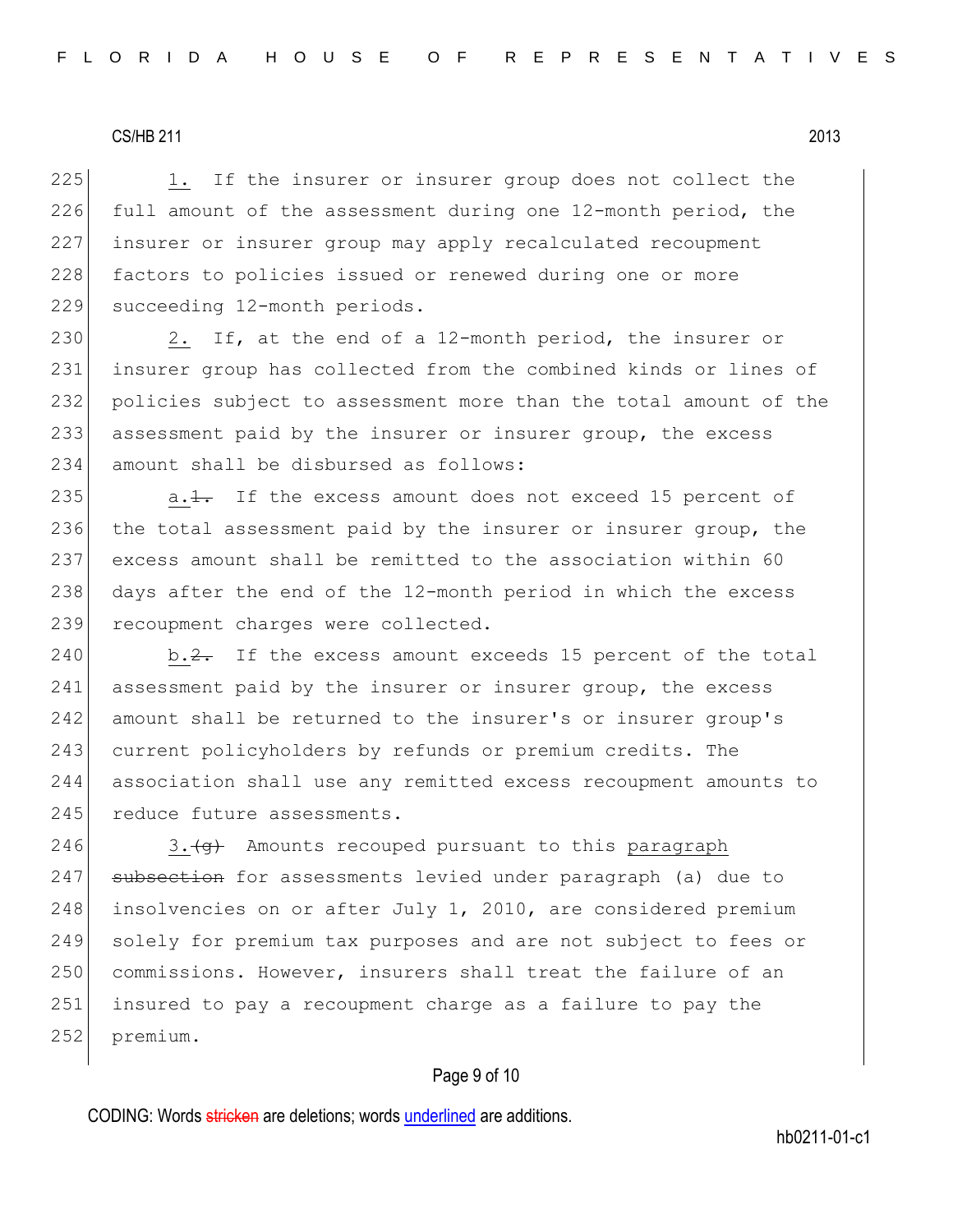225 1. If the insurer or insurer group does not collect the  $226$  full amount of the assessment during one  $12$ -month period, the 227 insurer or insurer group may apply recalculated recoupment 228 factors to policies issued or renewed during one or more 229 succeeding 12-month periods.

230 2. If, at the end of a 12-month period, the insurer or insurer group has collected from the combined kinds or lines of policies subject to assessment more than the total amount of the assessment paid by the insurer or insurer group, the excess amount shall be disbursed as follows:

235  $a.1$ . If the excess amount does not exceed 15 percent of 236 the total assessment paid by the insurer or insurer group, the 237 excess amount shall be remitted to the association within 60 238 days after the end of the 12-month period in which the excess 239 recoupment charges were collected.

 $240$  b.2. If the excess amount exceeds 15 percent of the total 241 assessment paid by the insurer or insurer group, the excess 242 amount shall be returned to the insurer's or insurer group's 243 current policyholders by refunds or premium credits. The 244 association shall use any remitted excess recoupment amounts to 245 reduce future assessments.

246 3. $\left\langle 3+4\right\rangle$  Amounts recouped pursuant to this paragraph 247 subsection for assessments levied under paragraph (a) due to 248 insolvencies on or after July 1, 2010, are considered premium 249 solely for premium tax purposes and are not subject to fees or 250 commissions. However, insurers shall treat the failure of an 251 insured to pay a recoupment charge as a failure to pay the 252 premium.

### Page 9 of 10

CODING: Words stricken are deletions; words underlined are additions.